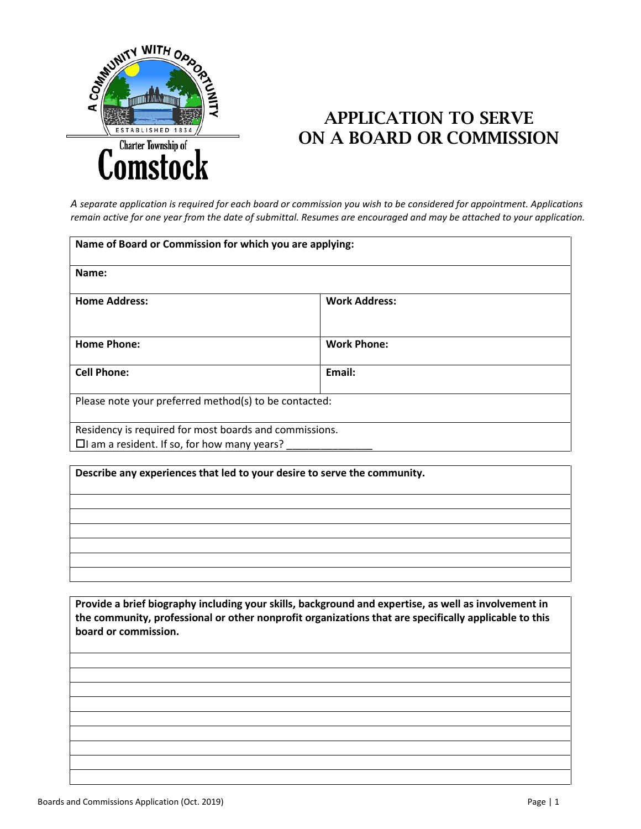

## APPLICATION TO SERVE ON A BOARD OR COMMISSION

*A separate application is required for each board or commission you wish to be considered for appointment. Applications remain active for one year from the date of submittal. Resumes are encouraged and may be attached to your application.*

| Name of Board or Commission for which you are applying:                                                      |                      |  |
|--------------------------------------------------------------------------------------------------------------|----------------------|--|
| Name:                                                                                                        |                      |  |
| <b>Home Address:</b>                                                                                         | <b>Work Address:</b> |  |
| <b>Home Phone:</b>                                                                                           | <b>Work Phone:</b>   |  |
| <b>Cell Phone:</b>                                                                                           | Email:               |  |
| Please note your preferred method(s) to be contacted:                                                        |                      |  |
| Residency is required for most boards and commissions.<br>$\Box$ I am a resident. If so, for how many years? |                      |  |

**Describe any experiences that led to your desire to serve the community.**

**Provide a brief biography including your skills, background and expertise, as well as involvement in the community, professional or other nonprofit organizations that are specifically applicable to this board or commission.** 

Boards and Commissions Application (Oct. 2019) **Page | 1 Page | 1**